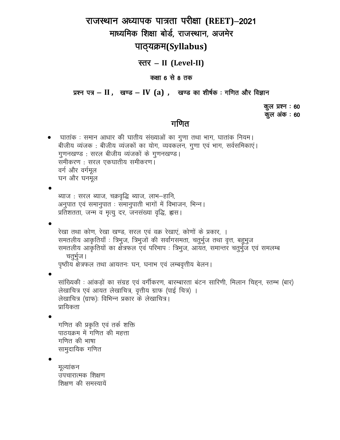# राजस्थान अध्यापक पात्रता परीक्षा (REET)–2021 माध्यमिक शिक्षा बोर्ड, राजस्थान, अजमेर

### पाठ्यक्रम(Syllabus)

### स्तर – II (Level-II)

#### कक्षा 6 से 8 तक

प्रश्न पत्र – II, खण्ड – IV (a), खण्ड का शीर्षक: गणित और विज्ञान

कुल प्रश्न : 60 कूल अंक : 60

### गणित

घातांक : समान आधार की घातीय संख्याओं का गुणा तथा भाग, घातांक नियम। बीजीय व्यंजक: बीजीय व्यंजकों का योग, व्यवकलन, गुणा एवं भाग, सर्वसमिकाएं। गुणनखण्ड: सरल बीजीय व्यंजकों के गुणनखण्ड। समीकरण: सरल एकघातीय समीकरण। वर्ग और वर्गमूल घन और घनमूल

ब्याज: सरल ब्याज, चक्रवृद्धि ब्याज, लाभ-हानि, अनुपात एवं समानुपात : समानुपाती भागों में विभाजन, भिन्न। प्रतिशतता, जन्म व मृत्यु दर, जनसंख्या वृद्धि, ह्वास।

रेखा तथा कोण, रेखा खण्ड, सरल एवं वक्र रेखाएं, कोणों के प्रकार, । समतलीय आकृतियाँ : त्रिभुज, त्रिभुजों की सर्वांगसमता, चतुर्भुज तथा वृत्त, बहुभुज समतलीय आकृतियों का क्षेत्रफल एवं परिमाप : त्रिभुज, आयत, समान्तर चतुर्भुज एवं समलम्ब चतुर्भुज। पृष्ठीय क्षेत्रफल तथा आयतनः घन, घनाभ एवं लम्बवृत्तीय बेलन।

सांख्यिकी : आंकड़ों का संग्रह एवं वर्गीकरण, बारम्बारता बंटन सारिणी, मिलान चिहन, स्तम्भ (बार) लेखाचित्र एवं आयत लेखाचित्र, वृत्तीय ग्राफ (पाई चित्र) । लेखाचित्र (ग्राफ): विभिन्न प्रकार के लेखाचित्र। प्रायिकता

गणित की प्रकृति एवं तर्क शक्ति पाठयक्रम में गणित की महत्ता गणित की भाषा सामुदायिक गणित

मुल्यांकन उपचारात्मक शिक्षण शिक्षण की समस्यायें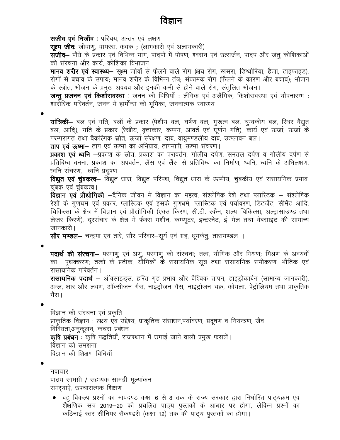## विज्ञान

सजीव एवं निर्जीव: परिचय, अन्तर एवं लक्षण **सूक्ष्म जीवः** जीवाण्, वायरस, कवक), (लाभकारी एवं अलाभकारी) **सजीव–** पौधे के प्रकार एवं विभिन्न भाग, पादपों में पोषण, श्वसन एवं उत्सर्जन, पादप और जंतू कोशिकाओं की संरचना और कार्य, कोशिका विभाजन **मानव शरीर एवं स्वास्थ्य**— सुक्ष्म जीवों से फैलने वाले रोग (क्षय रोग, खसरा, डिप्थीरिया, हैजा, टाइफाइड), रोगों से बचाव के उपाय: मानव शरीर के विभिन्न तंत्र; संक्रामक रोग (फैलने के कारण और बचाव); भोजन के स्त्रोत, भोजन के प्रमुख अवयव और इनकी कमी से होने वाले रोग, संतुलित भोजन। **जन्तु प्रजनन एवं किशोरावस्था** : जनन की विधियाँ : लैंगिक एवं अलैंगिक, किशोरावस्था एवं यौवनारम्भ : शारीरिक परिवर्तन, जनन में हार्मोन्स की भूमिका, जननात्मक स्वास्थ्य यांत्रिकी— बल एवं गति, बलों के प्रकार (पेशीय बल, घर्षण बल, गुरूत्व बल, चुम्बकीय बल, स्थिर वैद्युत बल, आदि), गति के प्रकार (रेखीय, वृत्ताकार, कम्पन, आवर्त एवं घूर्णन गति), कार्य एवं ऊर्जा, ऊर्जा के परम्परागत तथा वैकल्पिक स्रोत, ऊर्जा संरक्षण, दाब, वायुमण्डलीय दाब, उत्प्लावन बल। ताप एवं ऊष्मा– ताप एवं ऊष्मा का अभिप्राय, तापमापी, ऊष्मा संचरण। **प्रकाश एवं ध्वनि —**प्रकाश के स्रोत, प्रकाश का परावर्तन, गोलीय दर्पण, समतल दर्पण व गोलीय दर्पण से प्रतिबिम्ब बनना, प्रकाश का अपवर्तन, लैंस एवं लैंस से प्रतिबिम्ब का निर्माण, ध्वनि, ध्वनि के अभिलक्षण, ध्वनि संचरण, ध्वनि प्रदूषण विद्युत एवं चुंबकत्व– विद्युत धारा, विद्युत परिपथ, विद्युत धारा के ऊष्मीय, चुंबकीय एवं रासायनिक प्रभाव, चंबक एवं चंबकत्व। **विज्ञान एवं प्रौद्योगिकी** —दैनिक जीवन में विज्ञान का महत्व, संश्लेषिक रेशे तथा प्लास्टिक — संश्लेषिक रेशों के गुणघर्म एवं प्रकार, प्लास्टिक एवं इसके गुणधर्म, प्लास्टिक एवं पर्यावरण, डिटर्जेंट, सीमेंट आदि, चिकित्सा के क्षेत्र में विज्ञान एवं प्रौद्योगिकी (एक्स किरण, सी.टी. स्कैन, शल्य चिकित्सा, अल्ट्रासाउण्ड तथा लेजर किरणें), दूरसंचार के क्षेत्र में फैक्स मशीन, कम्प्यूटर, इन्टरनेट, ई-मेल तथा वेबसाइट की सामान्य जानकारी। **सौर मण्डल—** चन्द्रमा एवं तारे, सौर परिवार—सूर्य एवं ग्रह, धुमकेत्, तारामण्डल । पदार्थ की संरचना- परमाणु एवं अणु, परमाणु की संरचना; तत्व, यौगिक और मिश्रण; मिश्रण के अवयवों का पृथक्करण; तत्वों के प्रतीक, यौगिकों के रासायनिक सूत्र तथा रासायनिक समीकरण, भौतिक एवं रासायनिक परिवर्तन । **रासायनिक पदार्थ —** ऑक्साइड्स, हरित गृह प्रभाव और वैश्विक तापन, हाइड्रोकार्बन (सामान्य जानकारी), अम्ल, क्षार और लवण, ऑक्सीजन गैस, नाइट्रोजन गैस, नाइट्रोजन चक्र, कोयला, पेट्रोलियम तथा प्राकृतिक गैस।

 $\bullet$ 

विज्ञान की संरचना एवं प्रकृति प्राकृतिक विज्ञान : लक्ष्य एवं उद्देश्य, प्राकृतिक संसाधन,पर्यावरण, प्रदुषण व नियन्त्रण, जैव विविधता,अनुकुलन, कचरा प्रबंधन कृषि प्रबंधन : कृषि पद्धतियाँ, राजस्थान में उगाई जाने वाली प्रमुख फसलें। विज्ञान को समझना विज्ञान की शिक्षण विधियाँ

 $\bullet$ 

नवाचार पाठय सामग्री / सहायक सामग्री मूल्यांकन समस्याऐं, उपचारात्मक शिक्षण

• बहु विकल्प प्रश्नों का मापदण्ड कक्षा 6 से 8 तक के राज्य सरकार द्वारा निर्धारित पाठ्यक्रम एवं शैक्षणिक सत्र 2019–20 की प्रचलित पाठ्य पुस्तकों के आधार पर होगा, लेकिन प्रश्नों का कठिनाई स्तर सीनियर सैकण्डरी (कक्षा 12) तक की पाठ्य पुस्तकों का होगा।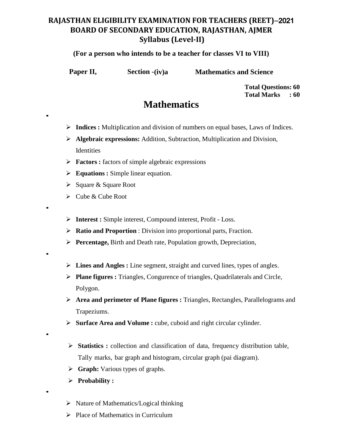### **RAJASTHAN ELIGIBILITY EXAMINATION FOR TEACHERS (REET)**&2021 **BOARD OF SECONDARY EDUCATION, RAJASTHAN, AJMER Syllabus (Level-II)**

#### **(For a person who intends to be a teacher for classes VI to VIII)**

•

•

•

•

•

**Paper II, Section -(iv)a** Mathematics and Science

**Total Questions: 60 Total Marks : 60**

# **Mathematics**

- **Indices :** Multiplication and division of numbers on equal bases, Laws of Indices.
- **Algebraic expressions:** Addition, Subtraction, Multiplication and Division, **Identities**
- **Factors :** factors of simple algebraic expressions
- **Equations :** Simple linear equation.
- $\triangleright$  Square & Square Root
- $\triangleright$  Cube & Cube Root
- **Interest :** Simple interest, Compound interest, Profit Loss.
- **Ratio and Proportion** : Division into proportional parts, Fraction.
- **Percentage,** Birth and Death rate, Population growth, Depreciation,
- **Lines and Angles :** Line segment, straight and curved lines, types of angles.
- **Plane figures :** Triangles, Congurence of triangles, Quadrilaterals and Circle, Polygon.
- **Area and perimeter of Plane figures :** Triangles, Rectangles, Parallelograms and Trapeziums.
- **Surface Area and Volume :** cube, cuboid and right circular cylinder.
- **Statistics :** collection and classification of data, frequency distribution table, Tally marks, bar graph and histogram, circular graph (pai diagram).
- **Graph:** Various types of graphs.
- **Probability :**
- $\triangleright$  Nature of Mathematics/Logical thinking
- $\triangleright$  Place of Mathematics in Curriculum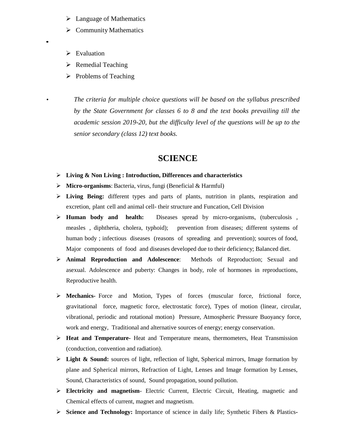- $\triangleright$  Language of Mathematics
- $\triangleright$  Community Mathematics
- $\triangleright$  Evaluation

•

- $\triangleright$  Remedial Teaching
- $\triangleright$  Problems of Teaching

• *The criteria for multiple choice questions will be based on the syllabus prescribed by the State Government for classes 6 to 8 and the text books prevailing till the academic session 2019-20, but the difficulty level of the questions will be up to the senior secondary (class 12) text books.*

### **SCIENCE**

- **Living & Non Living : Introduction, Differences and characteristics**
- **Micro-organisms**: Bacteria, virus, fungi (Beneficial & Harmful)
- **Living Being:** different types and parts of plants, nutrition in plants, respiration and excretion, plant cell and animal cell- their structure and Funcation, Cell Division
- **Human body and health:** Diseases spread by micro-organisms, (tuberculosis , measles , diphtheria, cholera, typhoid); prevention from diseases; different systems of human body ; infectious diseases (reasons of spreading and prevention); sources of food, Major components of food and diseases developed due to their deficiency; Balanced diet.
- **Animal Reproduction and Adolescence**: Methods of Reproduction; Sexual and asexual. Adolescence and puberty: Changes in body, role of hormones in reproductions, Reproductive health.
- **Mechanics-** Force and Motion, Types of forces (muscular force, frictional force, gravitational force, magnetic force, electrostatic force), Types of motion (linear, circular, vibrational, periodic and rotational motion) Pressure, Atmospheric Pressure Buoyancy force, work and energy, Traditional and alternative sources of energy; energy conservation.
- **Heat and Temperature-** Heat and Temperature means, thermometers, Heat Transmission (conduction, convention and radiation).
- **Light & Sound:** sources of light, reflection of light, Spherical mirrors, Image formation by plane and Spherical mirrors, Refraction of Light, Lenses and Image formation by Lenses, Sound, Characteristics of sound, Sound propagation, sound pollution.
- **Electricity and magnetism** Electric Current, Electric Circuit, Heating, magnetic and Chemical effects of current, magnet and magnetism.
- **Science and Technology:** Importance of science in daily life; Synthetic Fibers & Plastics**-**